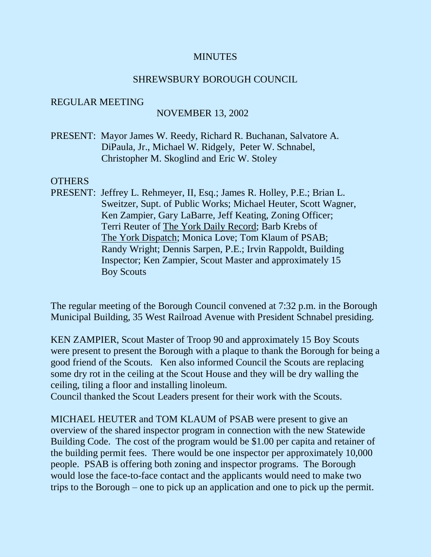#### **MINUTES**

### SHREWSBURY BOROUGH COUNCIL

#### REGULAR MEETING

### NOVEMBER 13, 2002

PRESENT: Mayor James W. Reedy, Richard R. Buchanan, Salvatore A. DiPaula, Jr., Michael W. Ridgely, Peter W. Schnabel, Christopher M. Skoglind and Eric W. Stoley

### **OTHERS**

PRESENT: Jeffrey L. Rehmeyer, II, Esq.; James R. Holley, P.E.; Brian L. Sweitzer, Supt. of Public Works; Michael Heuter, Scott Wagner, Ken Zampier, Gary LaBarre, Jeff Keating, Zoning Officer; Terri Reuter of The York Daily Record; Barb Krebs of The York Dispatch; Monica Love; Tom Klaum of PSAB; Randy Wright; Dennis Sarpen, P.E.; Irvin Rappoldt, Building Inspector; Ken Zampier, Scout Master and approximately 15 Boy Scouts

The regular meeting of the Borough Council convened at 7:32 p.m. in the Borough Municipal Building, 35 West Railroad Avenue with President Schnabel presiding.

KEN ZAMPIER, Scout Master of Troop 90 and approximately 15 Boy Scouts were present to present the Borough with a plaque to thank the Borough for being a good friend of the Scouts. Ken also informed Council the Scouts are replacing some dry rot in the ceiling at the Scout House and they will be dry walling the ceiling, tiling a floor and installing linoleum.

Council thanked the Scout Leaders present for their work with the Scouts.

MICHAEL HEUTER and TOM KLAUM of PSAB were present to give an overview of the shared inspector program in connection with the new Statewide Building Code. The cost of the program would be \$1.00 per capita and retainer of the building permit fees. There would be one inspector per approximately 10,000 people. PSAB is offering both zoning and inspector programs. The Borough would lose the face-to-face contact and the applicants would need to make two trips to the Borough – one to pick up an application and one to pick up the permit.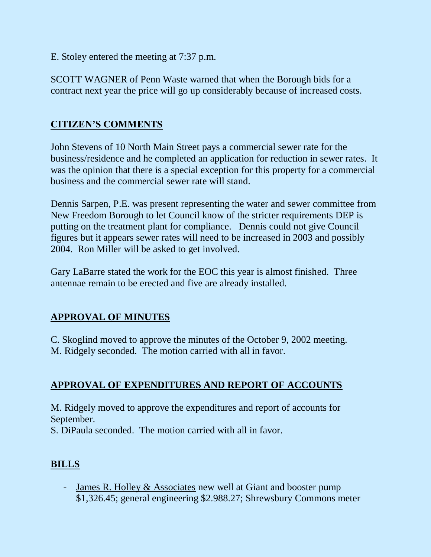E. Stoley entered the meeting at 7:37 p.m.

SCOTT WAGNER of Penn Waste warned that when the Borough bids for a contract next year the price will go up considerably because of increased costs.

# **CITIZEN'S COMMENTS**

John Stevens of 10 North Main Street pays a commercial sewer rate for the business/residence and he completed an application for reduction in sewer rates. It was the opinion that there is a special exception for this property for a commercial business and the commercial sewer rate will stand.

Dennis Sarpen, P.E. was present representing the water and sewer committee from New Freedom Borough to let Council know of the stricter requirements DEP is putting on the treatment plant for compliance. Dennis could not give Council figures but it appears sewer rates will need to be increased in 2003 and possibly 2004. Ron Miller will be asked to get involved.

Gary LaBarre stated the work for the EOC this year is almost finished. Three antennae remain to be erected and five are already installed.

# **APPROVAL OF MINUTES**

C. Skoglind moved to approve the minutes of the October 9, 2002 meeting. M. Ridgely seconded. The motion carried with all in favor.

# **APPROVAL OF EXPENDITURES AND REPORT OF ACCOUNTS**

M. Ridgely moved to approve the expenditures and report of accounts for September.

S. DiPaula seconded. The motion carried with all in favor.

# **BILLS**

- James R. Holley & Associates new well at Giant and booster pump \$1,326.45; general engineering \$2.988.27; Shrewsbury Commons meter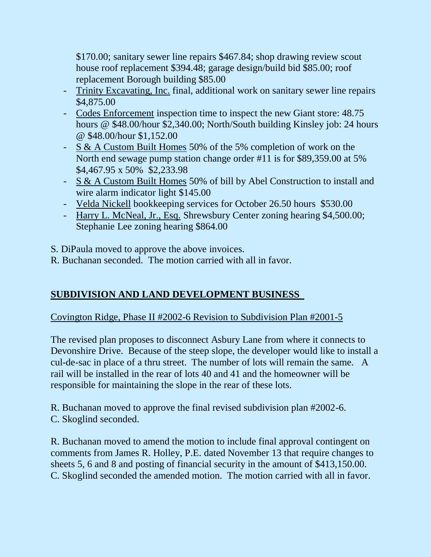\$170.00; sanitary sewer line repairs \$467.84; shop drawing review scout house roof replacement \$394.48; garage design/build bid \$85.00; roof replacement Borough building \$85.00

- Trinity Excavating, Inc. final, additional work on sanitary sewer line repairs \$4,875.00
- Codes Enforcement inspection time to inspect the new Giant store: 48.75 hours @ \$48.00/hour \$2,340.00; North/South building Kinsley job: 24 hours @ \$48.00/hour \$1,152.00
- S & A Custom Built Homes 50% of the 5% completion of work on the North end sewage pump station change order #11 is for \$89,359.00 at 5% \$4,467.95 x 50% \$2,233.98
- S & A Custom Built Homes 50% of bill by Abel Construction to install and wire alarm indicator light \$145.00
- Velda Nickell bookkeeping services for October 26.50 hours \$530.00
- Harry L. McNeal, Jr., Esq. Shrewsbury Center zoning hearing \$4,500.00; Stephanie Lee zoning hearing \$864.00

S. DiPaula moved to approve the above invoices.

R. Buchanan seconded. The motion carried with all in favor.

# **SUBDIVISION AND LAND DEVELOPMENT BUSINESS**

# Covington Ridge, Phase II #2002-6 Revision to Subdivision Plan #2001-5

The revised plan proposes to disconnect Asbury Lane from where it connects to Devonshire Drive. Because of the steep slope, the developer would like to install a cul-de-sac in place of a thru street. The number of lots will remain the same. A rail will be installed in the rear of lots 40 and 41 and the homeowner will be responsible for maintaining the slope in the rear of these lots.

R. Buchanan moved to approve the final revised subdivision plan #2002-6. C. Skoglind seconded.

R. Buchanan moved to amend the motion to include final approval contingent on comments from James R. Holley, P.E. dated November 13 that require changes to sheets 5, 6 and 8 and posting of financial security in the amount of \$413,150.00. C. Skoglind seconded the amended motion. The motion carried with all in favor.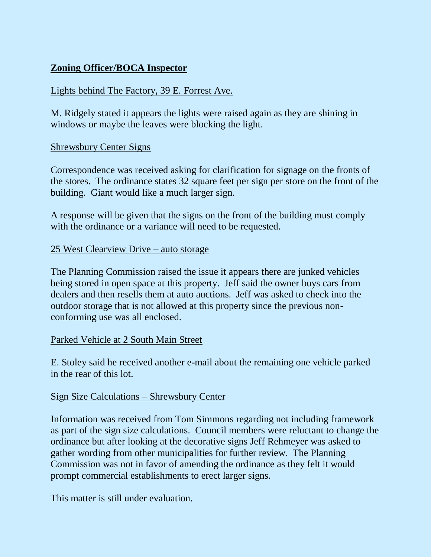# **Zoning Officer/BOCA Inspector**

## Lights behind The Factory, 39 E. Forrest Ave.

M. Ridgely stated it appears the lights were raised again as they are shining in windows or maybe the leaves were blocking the light.

### Shrewsbury Center Signs

Correspondence was received asking for clarification for signage on the fronts of the stores. The ordinance states 32 square feet per sign per store on the front of the building. Giant would like a much larger sign.

A response will be given that the signs on the front of the building must comply with the ordinance or a variance will need to be requested.

### 25 West Clearview Drive – auto storage

The Planning Commission raised the issue it appears there are junked vehicles being stored in open space at this property. Jeff said the owner buys cars from dealers and then resells them at auto auctions. Jeff was asked to check into the outdoor storage that is not allowed at this property since the previous nonconforming use was all enclosed.

### Parked Vehicle at 2 South Main Street

E. Stoley said he received another e-mail about the remaining one vehicle parked in the rear of this lot.

### Sign Size Calculations – Shrewsbury Center

Information was received from Tom Simmons regarding not including framework as part of the sign size calculations. Council members were reluctant to change the ordinance but after looking at the decorative signs Jeff Rehmeyer was asked to gather wording from other municipalities for further review. The Planning Commission was not in favor of amending the ordinance as they felt it would prompt commercial establishments to erect larger signs.

This matter is still under evaluation.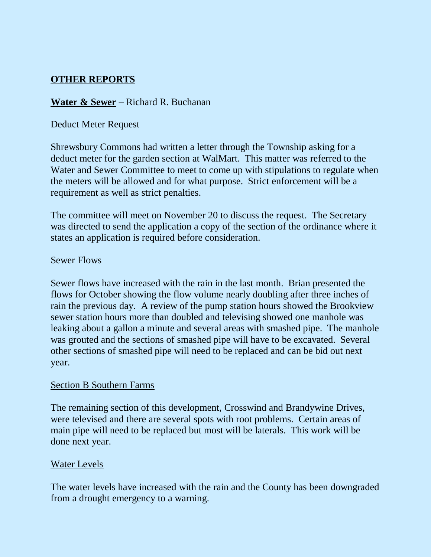## **OTHER REPORTS**

### **Water & Sewer** – Richard R. Buchanan

### Deduct Meter Request

Shrewsbury Commons had written a letter through the Township asking for a deduct meter for the garden section at WalMart. This matter was referred to the Water and Sewer Committee to meet to come up with stipulations to regulate when the meters will be allowed and for what purpose. Strict enforcement will be a requirement as well as strict penalties.

The committee will meet on November 20 to discuss the request. The Secretary was directed to send the application a copy of the section of the ordinance where it states an application is required before consideration.

### Sewer Flows

Sewer flows have increased with the rain in the last month. Brian presented the flows for October showing the flow volume nearly doubling after three inches of rain the previous day. A review of the pump station hours showed the Brookview sewer station hours more than doubled and televising showed one manhole was leaking about a gallon a minute and several areas with smashed pipe. The manhole was grouted and the sections of smashed pipe will have to be excavated. Several other sections of smashed pipe will need to be replaced and can be bid out next year.

### Section B Southern Farms

The remaining section of this development, Crosswind and Brandywine Drives, were televised and there are several spots with root problems. Certain areas of main pipe will need to be replaced but most will be laterals. This work will be done next year.

### Water Levels

The water levels have increased with the rain and the County has been downgraded from a drought emergency to a warning.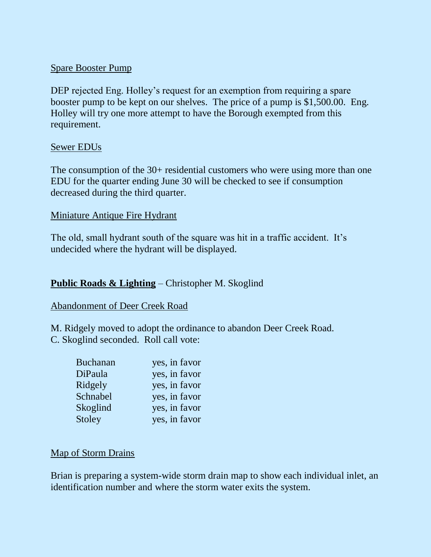### Spare Booster Pump

DEP rejected Eng. Holley's request for an exemption from requiring a spare booster pump to be kept on our shelves. The price of a pump is \$1,500.00. Eng. Holley will try one more attempt to have the Borough exempted from this requirement.

### Sewer EDUs

The consumption of the 30+ residential customers who were using more than one EDU for the quarter ending June 30 will be checked to see if consumption decreased during the third quarter.

### Miniature Antique Fire Hydrant

The old, small hydrant south of the square was hit in a traffic accident. It's undecided where the hydrant will be displayed.

### **Public Roads & Lighting** – Christopher M. Skoglind

#### Abandonment of Deer Creek Road

M. Ridgely moved to adopt the ordinance to abandon Deer Creek Road. C. Skoglind seconded. Roll call vote:

| <b>Buchanan</b> | yes, in favor |
|-----------------|---------------|
| DiPaula         | yes, in favor |
| Ridgely         | yes, in favor |
| Schnabel        | yes, in favor |
| Skoglind        | yes, in favor |
| Stoley          | yes, in favor |

#### Map of Storm Drains

Brian is preparing a system-wide storm drain map to show each individual inlet, an identification number and where the storm water exits the system.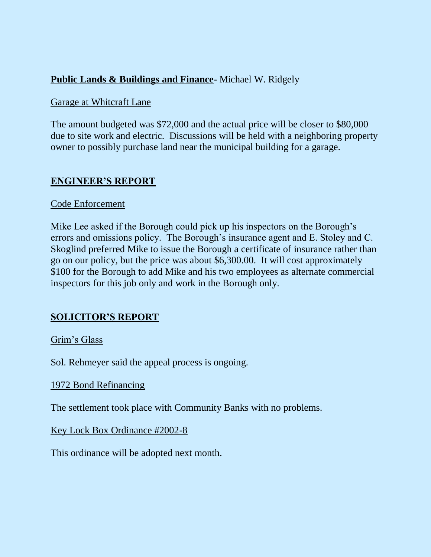## **Public Lands & Buildings and Finance**- Michael W. Ridgely

### Garage at Whitcraft Lane

The amount budgeted was \$72,000 and the actual price will be closer to \$80,000 due to site work and electric. Discussions will be held with a neighboring property owner to possibly purchase land near the municipal building for a garage.

### **ENGINEER'S REPORT**

### Code Enforcement

Mike Lee asked if the Borough could pick up his inspectors on the Borough's errors and omissions policy. The Borough's insurance agent and E. Stoley and C. Skoglind preferred Mike to issue the Borough a certificate of insurance rather than go on our policy, but the price was about \$6,300.00. It will cost approximately \$100 for the Borough to add Mike and his two employees as alternate commercial inspectors for this job only and work in the Borough only.

## **SOLICITOR'S REPORT**

### Grim's Glass

Sol. Rehmeyer said the appeal process is ongoing.

### 1972 Bond Refinancing

The settlement took place with Community Banks with no problems.

Key Lock Box Ordinance #2002-8

This ordinance will be adopted next month.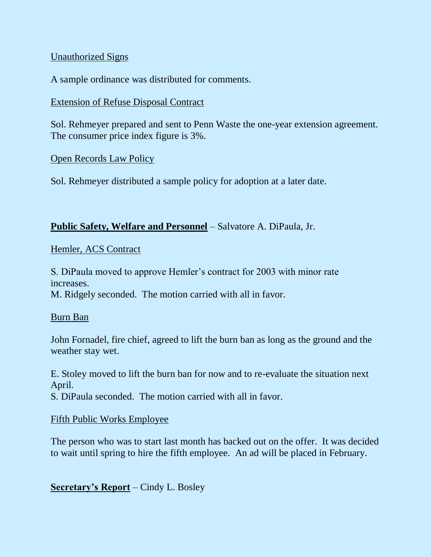### Unauthorized Signs

A sample ordinance was distributed for comments.

### Extension of Refuse Disposal Contract

Sol. Rehmeyer prepared and sent to Penn Waste the one-year extension agreement. The consumer price index figure is 3%.

### Open Records Law Policy

Sol. Rehmeyer distributed a sample policy for adoption at a later date.

### **Public Safety, Welfare and Personnel** – Salvatore A. DiPaula, Jr.

### Hemler, ACS Contract

S. DiPaula moved to approve Hemler's contract for 2003 with minor rate increases.

M. Ridgely seconded. The motion carried with all in favor.

### Burn Ban

John Fornadel, fire chief, agreed to lift the burn ban as long as the ground and the weather stay wet.

E. Stoley moved to lift the burn ban for now and to re-evaluate the situation next April.

S. DiPaula seconded. The motion carried with all in favor.

### Fifth Public Works Employee

The person who was to start last month has backed out on the offer. It was decided to wait until spring to hire the fifth employee. An ad will be placed in February.

**Secretary's Report** – Cindy L. Bosley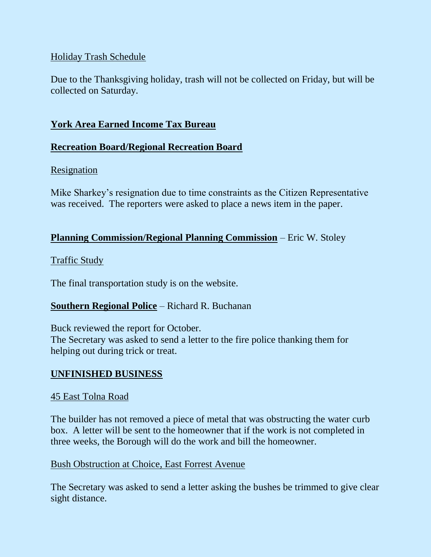### Holiday Trash Schedule

Due to the Thanksgiving holiday, trash will not be collected on Friday, but will be collected on Saturday.

### **York Area Earned Income Tax Bureau**

### **Recreation Board/Regional Recreation Board**

### Resignation

Mike Sharkey's resignation due to time constraints as the Citizen Representative was received. The reporters were asked to place a news item in the paper.

### **Planning Commission/Regional Planning Commission** – Eric W. Stoley

### Traffic Study

The final transportation study is on the website.

## **Southern Regional Police** – Richard R. Buchanan

Buck reviewed the report for October. The Secretary was asked to send a letter to the fire police thanking them for helping out during trick or treat.

### **UNFINISHED BUSINESS**

### 45 East Tolna Road

The builder has not removed a piece of metal that was obstructing the water curb box. A letter will be sent to the homeowner that if the work is not completed in three weeks, the Borough will do the work and bill the homeowner.

### Bush Obstruction at Choice, East Forrest Avenue

The Secretary was asked to send a letter asking the bushes be trimmed to give clear sight distance.